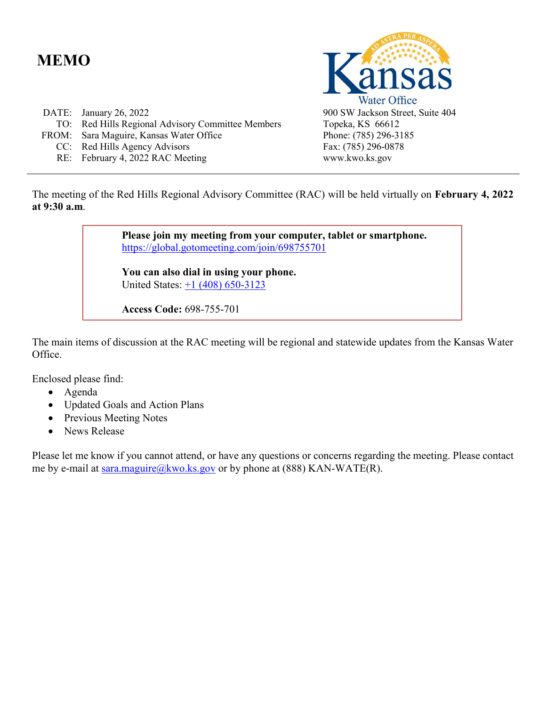# **MEMO**

| DATE: January 26, 2022                            |
|---------------------------------------------------|
| TO: Red Hills Regional Advisory Committee Members |
| FROM: Sara Maguire, Kansas Water Office           |
| CC: Red Hills Agency Advisors                     |
| RE: February 4, 2022 RAC Meeting                  |



Topeka, KS 66612 Phone: (785) 296-3185 Fax: (785) 296-0878 www.kwo.ks.gov

The meeting of the Red Hills Regional Advisory Committee (RAC) will be held virtually on **February 4, 2022 at 9:30 a.m**.

> **Please join my meeting from your computer, tablet or smartphone.**  <https://global.gotomeeting.com/join/698755701>

**You can also dial in using your phone.** United States: [+1 \(408\) 650-3123](tel:+14086503123,,698755701)

**Access Code:** 698-755-701

The main items of discussion at the RAC meeting will be regional and statewide updates from the Kansas Water Office.

Enclosed please find:

- Agenda
- Updated Goals and Action Plans
- Previous Meeting Notes
- News Release

Please let me know if you cannot attend, or have any questions or concerns regarding the meeting. Please contact me by e-mail at [sara.maguire@kwo.ks.gov](mailto:sara.maguire@kwo.ks.gov) or by phone at  $(888)$  KAN-WATE(R).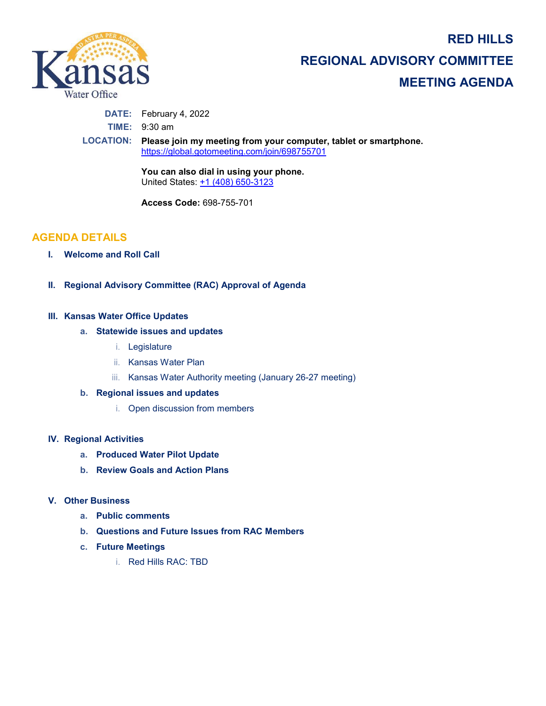**RED HILLS** 



**REGIONAL ADVISORY COMMITTEE MEETING AGENDA**

**DATE:** February 4, 2022

**TIME:** 9:30 am

**LOCATION: Please join my meeting from your computer, tablet or smartphone.**  <https://global.gotomeeting.com/join/698755701>

> **You can also dial in using your phone.** United States: [+1 \(408\) 650-3123](tel:+14086503123,,698755701)

**Access Code:** 698-755-701

## **AGENDA DETAILS**

- **I. Welcome and Roll Call**
- **II. Regional Advisory Committee (RAC) Approval of Agenda**

### **III. Kansas Water Office Updates**

### **a. Statewide issues and updates**

- i. Legislature
- ii. Kansas Water Plan
- iii. Kansas Water Authority meeting (January 26-27 meeting)

### **b. Regional issues and updates**

i. Open discussion from members

### **IV. Regional Activities**

- **a. Produced Water Pilot Update**
- **b. Review Goals and Action Plans**

### **V. Other Business**

- **a. Public comments**
- **b. Questions and Future Issues from RAC Members**
- **c. Future Meetings**
	- i. Red Hills RAC: TBD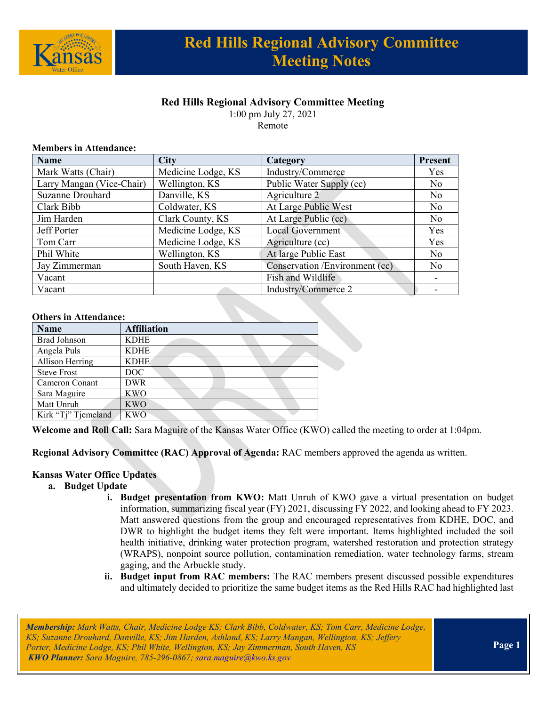

## **Red Hills Regional Advisory Committee Meeting**

1:00 pm July 27, 2021 Remote

#### **Members in Attendance:**

| <b>Name</b>               | <b>City</b>        | Category                       | <b>Present</b> |
|---------------------------|--------------------|--------------------------------|----------------|
| Mark Watts (Chair)        | Medicine Lodge, KS | Industry/Commerce              | Yes            |
| Larry Mangan (Vice-Chair) | Wellington, KS     | Public Water Supply (cc)       | N <sub>0</sub> |
| Suzanne Drouhard          | Danville, KS       | Agriculture 2                  | N <sub>0</sub> |
| Clark Bibb                | Coldwater, KS      | At Large Public West           | N <sub>o</sub> |
| Jim Harden                | Clark County, KS   | At Large Public (cc)           | N <sub>0</sub> |
| Jeff Porter               | Medicine Lodge, KS | <b>Local Government</b>        | Yes            |
| Tom Carr                  | Medicine Lodge, KS | Agriculture (cc)               | Yes            |
| Phil White                | Wellington, KS     | At large Public East           | N <sub>o</sub> |
| Jay Zimmerman             | South Haven, KS    | Conservation /Environment (cc) | N <sub>o</sub> |
| Vacant                    |                    | Fish and Wildlife              |                |
| Vacant                    |                    | Industry/Commerce 2            |                |

#### **Others in Attendance:**

| <b>Name</b>         | <b>Affiliation</b> |
|---------------------|--------------------|
| <b>Brad Johnson</b> | <b>KDHE</b>        |
| Angela Puls         | <b>KDHE</b>        |
| Allison Herring     | <b>KDHE</b>        |
| <b>Steve Frost</b>  | DOC.               |
| Cameron Conant      | <b>DWR</b>         |
| Sara Maguire        | <b>KWO</b>         |
| Matt Unruh          | <b>KWO</b>         |
| Kirk "Tj" Tjemeland | <b>KWO</b>         |

**Welcome and Roll Call:** Sara Maguire of the Kansas Water Office (KWO) called the meeting to order at 1:04pm.

**Regional Advisory Committee (RAC) Approval of Agenda:** RAC members approved the agenda as written.

### **Kansas Water Office Updates**

- **a. Budget Update**
	- **i. Budget presentation from KWO:** Matt Unruh of KWO gave a virtual presentation on budget information, summarizing fiscal year (FY) 2021, discussing FY 2022, and looking ahead to FY 2023. Matt answered questions from the group and encouraged representatives from KDHE, DOC, and DWR to highlight the budget items they felt were important. Items highlighted included the soil health initiative, drinking water protection program, watershed restoration and protection strategy (WRAPS), nonpoint source pollution, contamination remediation, water technology farms, stream gaging, and the Arbuckle study.
	- **ii. Budget input from RAC members:** The RAC members present discussed possible expenditures and ultimately decided to prioritize the same budget items as the Red Hills RAC had highlighted last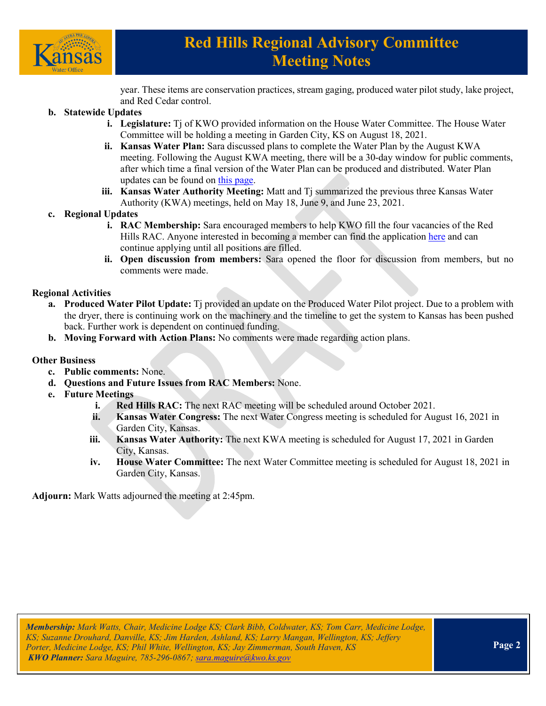

# **Red Hills Regional Advisory Committee Meeting Notes**

year. These items are conservation practices, stream gaging, produced water pilot study, lake project, and Red Cedar control.

### **b. Statewide Updates**

- **i. Legislature:** Tj of KWO provided information on the House Water Committee. The House Water Committee will be holding a meeting in Garden City, KS on August 18, 2021.
- **ii. Kansas Water Plan:** Sara discussed plans to complete the Water Plan by the August KWA meeting. Following the August KWA meeting, there will be a 30-day window for public comments, after which time a final version of the Water Plan can be produced and distributed. Water Plan updates can be found o[n this page.](https://kwo.ks.gov/water-vision-water-plan/water-plan)
- **iii. Kansas Water Authority Meeting:** Matt and Tj summarized the previous three Kansas Water Authority (KWA) meetings, held on May 18, June 9, and June 23, 2021.
- **c. Regional Updates**
	- **i. RAC Membership:** Sara encouraged members to help KWO fill the four vacancies of the Red Hills RAC. Anyone interested in becoming a member can find the application [here](https://kwo.ks.gov/about-the-kwo/regional-advisory-committees) and can continue applying until all positions are filled.
	- **ii. Open discussion from members:** Sara opened the floor for discussion from members, but no comments were made.

### **Regional Activities**

- **a. Produced Water Pilot Update:** Tj provided an update on the Produced Water Pilot project. Due to a problem with the dryer, there is continuing work on the machinery and the timeline to get the system to Kansas has been pushed back. Further work is dependent on continued funding.
- **b. Moving Forward with Action Plans:** No comments were made regarding action plans.

### **Other Business**

- **c. Public comments:** None.
- **d. Questions and Future Issues from RAC Members:** None.
- **e. Future Meetings**
	- **i. Red Hills RAC:** The next RAC meeting will be scheduled around October 2021.
	- **ii. Kansas Water Congress:** The next Water Congress meeting is scheduled for August 16, 2021 in Garden City, Kansas.
	- **iii. Kansas Water Authority:** The next KWA meeting is scheduled for August 17, 2021 in Garden City, Kansas.
	- **iv. House Water Committee:** The next Water Committee meeting is scheduled for August 18, 2021 in Garden City, Kansas.

**Adjourn:** Mark Watts adjourned the meeting at 2:45pm.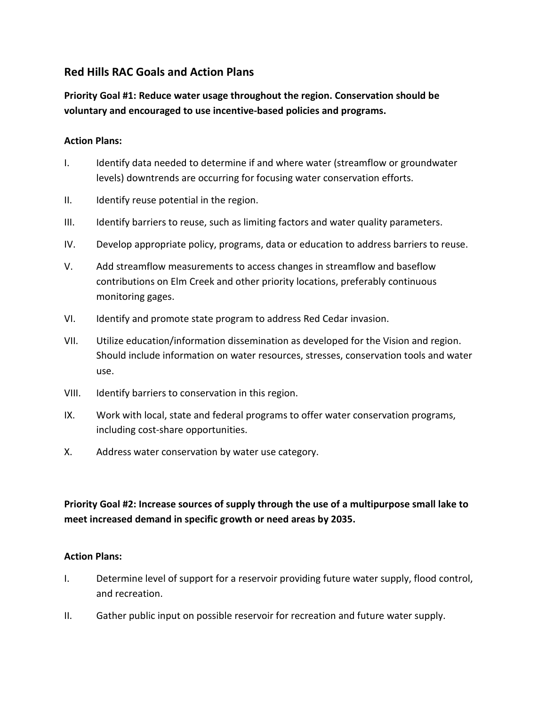# **Red Hills RAC Goals and Action Plans**

**Priority Goal #1: Reduce water usage throughout the region. Conservation should be voluntary and encouraged to use incentive-based policies and programs.**

### **Action Plans:**

- I. Identify data needed to determine if and where water (streamflow or groundwater levels) downtrends are occurring for focusing water conservation efforts.
- II. Identify reuse potential in the region.
- III. Identify barriers to reuse, such as limiting factors and water quality parameters.
- IV. Develop appropriate policy, programs, data or education to address barriers to reuse.
- V. Add streamflow measurements to access changes in streamflow and baseflow contributions on Elm Creek and other priority locations, preferably continuous monitoring gages.
- VI. Identify and promote state program to address Red Cedar invasion.
- VII. Utilize education/information dissemination as developed for the Vision and region. Should include information on water resources, stresses, conservation tools and water use.
- VIII. Identify barriers to conservation in this region.
- IX. Work with local, state and federal programs to offer water conservation programs, including cost-share opportunities.
- X. Address water conservation by water use category.

# **Priority Goal #2: Increase sources of supply through the use of a multipurpose small lake to meet increased demand in specific growth or need areas by 2035.**

### **Action Plans:**

- I. Determine level of support for a reservoir providing future water supply, flood control, and recreation.
- II. Gather public input on possible reservoir for recreation and future water supply.